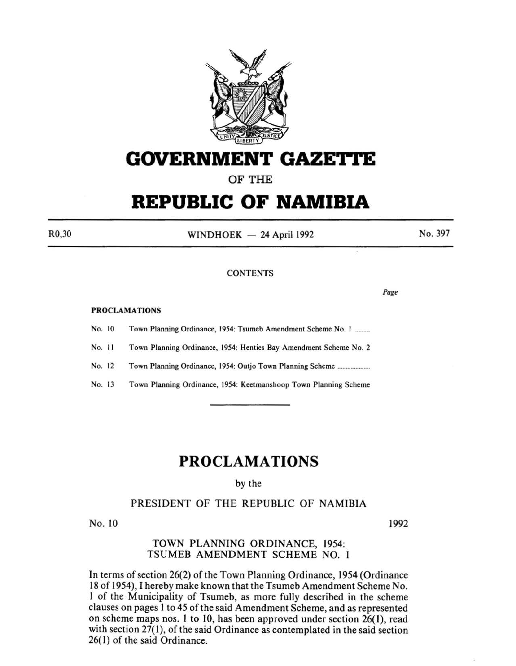

# **GOVERNMENT GAZETTE**

# OF THE

# **REPUBLIC OF NAMIBIA**

R0,30

 $WINDHOEK - 24$  April 1992

No. 397

### **CONTENTS**

PROCLAMATIONS

No. 10 Town Planning Ordinance, 1954: Tsumeb Amendment Scheme No. 1 .........

No. II Town Planning Ordinance, 1954: Henties Bay Amendment Scheme No.2

No. 12 Town Planning Ordinance, 1954: Outjo Town Planning Scheme ................... .

No. 13 Town Planning Ordinance, 1954: Keetmanshoop Town Planning Scheme

# **PROCLAMATIONS**

by the

# PRESIDENT OF THE REPUBLIC OF NAMIBIA

No. 10 1992

Page

## TOWN PLANNING ORDINANCE, 1954: TSUMEB AMENDMENT SCHEME NO. 1

In terms of section 26(2) of the Town Planning Ordinance, 1954 (Ordinance 18 of 1954), I hereby make known that the Tsumeb Amendment Scheme No. 1 of the Municipality of Tsumeb, as more fully described in the scheme clauses on pages I to 45 of the said Amendment Scheme, and as represented on scheme maps nos. 1 to 10, has been approved under section 26(1), read with section  $27(1)$ , of the said Ordinance as contemplated in the said section 26( I) of the said Ordinance.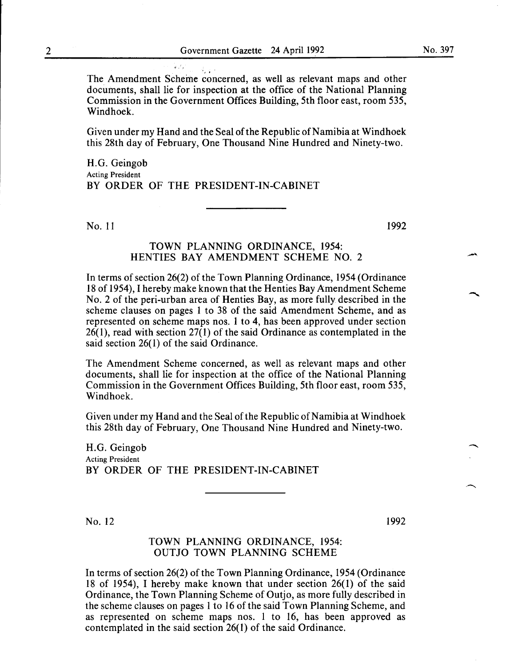The Amendment Scheme concerned, as well as relevant maps and other documents, shall lie for inspection at the office of the National Planning Commission in the Government Offices Building, 5th floor east, room 535, Windhoek.

Given under my Hand and the Seal of the Republic of Namibia at Windhoek this 28th day of February, One Thousand Nine Hundred and Ninety-two.

H.G. Geingob Acting President BY ORDER OF THE PRESIDENT-IN-CABINET

No. 11 1992

#### TOWN PLANNING ORDINANCE, I954: HENTIES BAY AMENDMENT SCHEME NO.2

In terms of section 26(2) of the Town Planning Ordinance, I954 (Ordinance I8 of I954), I hereby make known that the Henties Bay Amendment Scheme No. 2 of the peri-urban area of Henties Bay, as more fully described in the scheme clauses on pages I to 38 of the said Amendment Scheme, and as represented on scheme maps nos. I to 4, has been approved under section 26(1), read with section 27(1) of the said Ordinance as contemplated in the said section 26(1) of the said Ordinance.

The Amendment Scheme concerned, as well as relevant maps and other documents, shall lie for inspection at the office of the National Planning Commission in the Government Offices Building, 5th floor east, room 535, Windhoek.

Given under my Hand and the Seal of the Republic of Namibia at Windhoek this 28th day of February, One Thousand Nine Hundred and Ninety-two.

H.G. Geingob Acting President BY ORDER OF THE PRESIDENT-IN-CABINET

No. 12 1992

-<br>-<br>-<br>-

#### TOWN PLANNING ORDINANCE, I954: OUTJO TOWN PLANNING SCHEME

In terms of section 26(2) of the Town Planning Ordinance, I954 (Ordinance 18 of 1954), I hereby make known that under section 26(1) of the said Ordinance, the Town Planning Scheme of Outjo, as more fully described in the scheme clauses on pages I to 16 of the said Town Planning Scheme, and as represented on scheme maps nos. 1 to I6, has been approved as contemplated in the said section 26(I) of the said Ordinance.